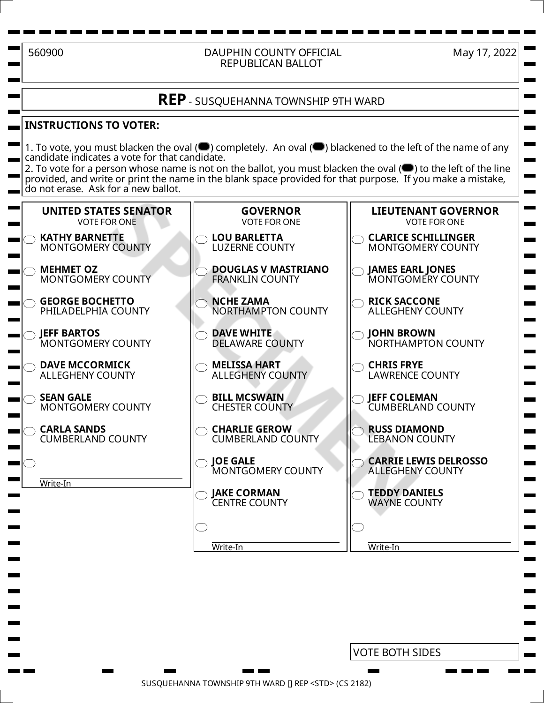## 560900 DAUPHIN COUNTY OFFICIAL REPUBLICAN BALLOT

May 17, 2022

## **REP**- SUSQUEHANNA TOWNSHIP 9TH WARD

## **INSTRUCTIONS TO VOTER:**

1. To vote, you must blacken the oval ( $\blacksquare$ ) completely. An oval ( $\blacksquare$ ) blackened to the left of the name of any candidate indicates a vote for that candidate.

2. To vote for a person whose name is not on the ballot, you must blacken the oval ( $\blacksquare$ ) to the left of the line provided, and write or print the name in the blank space provided for that purpose. If you make a mistake, do not erase. Ask for a new ballot.



VOTE BOTH SIDES